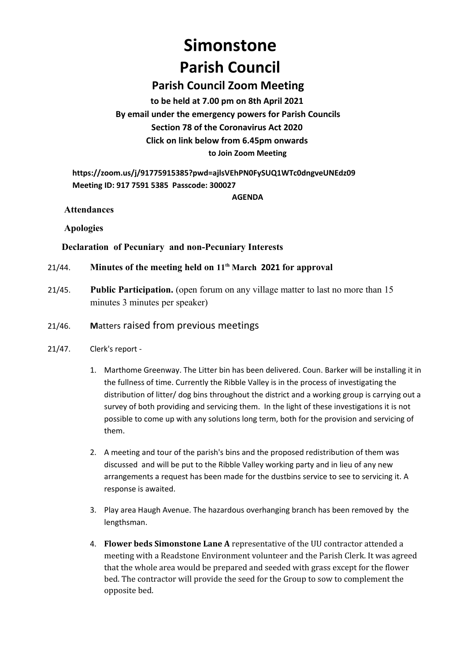# **Simonstone Parish Council**

## **Parish Council Zoom Meeting**

**to be held at 7.00 pm on 8th April 2021 By email under the emergency powers for Parish Councils Section 78 of the Coronavirus Act 2020 Click on link below from 6.45pm onwards to Join Zoom Meeting**

**https://zoom.us/j/91775915385?pwd=ajlsVEhPN0FySUQ1WTc0dngveUNEdz09 Meeting ID: 917 7591 5385 Passcode: 300027**

**AGENDA**

**Attendances** 

**Apologies**

## **Declaration of Pecuniary and non-Pecuniary Interests**

- 21/44. **Minutes of the meeting held on 11th March 2021 for approval**
- 21/45. **Public Participation.** (open forum on any village matter to last no more than 15 minutes 3 minutes per speaker)
- 21/46. **M**atters raised from previous meetings
- 21/47. Clerk's report
	- 1. Marthome Greenway. The Litter bin has been delivered. Coun. Barker will be installing it in the fullness of time. Currently the Ribble Valley is in the process of investigating the distribution of litter/ dog bins throughout the district and a working group is carrying out a survey of both providing and servicing them. In the light of these investigations it is not possible to come up with any solutions long term, both for the provision and servicing of them.
	- 2. A meeting and tour of the parish's bins and the proposed redistribution of them was discussed and will be put to the Ribble Valley working party and in lieu of any new arrangements a request has been made for the dustbins service to see to servicing it. A response is awaited.
	- 3. Play area Haugh Avenue. The hazardous overhanging branch has been removed by the lengthsman.
	- 4. **Flower beds Simonstone Lane A** representative of the UU contractor attended a meeting with a Readstone Environment volunteer and the Parish Clerk. It was agreed that the whole area would be prepared and seeded with grass except for the flower bed. The contractor will provide the seed for the Group to sow to complement the opposite bed.